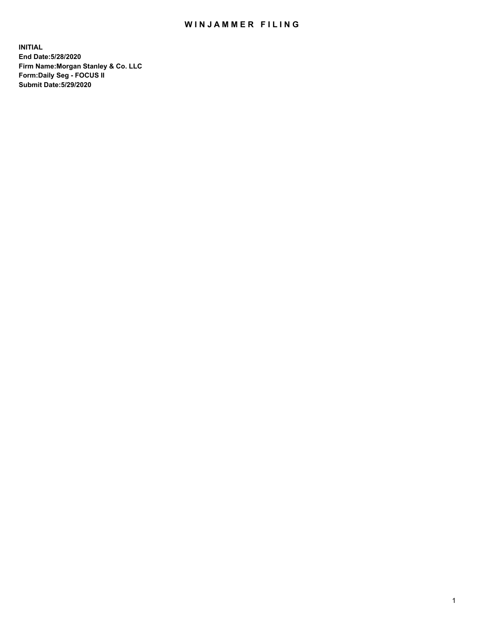## WIN JAMMER FILING

**INITIAL End Date:5/28/2020 Firm Name:Morgan Stanley & Co. LLC Form:Daily Seg - FOCUS II Submit Date:5/29/2020**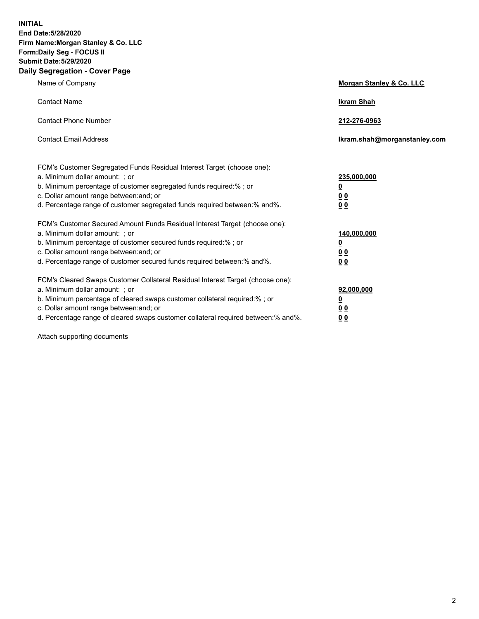**INITIAL End Date:5/28/2020 Firm Name:Morgan Stanley & Co. LLC Form:Daily Seg - FOCUS II Submit Date:5/29/2020 Daily Segregation - Cover Page**

| Name of Company                                                                                                                                                                                                                                                                                                                | Morgan Stanley & Co. LLC                               |
|--------------------------------------------------------------------------------------------------------------------------------------------------------------------------------------------------------------------------------------------------------------------------------------------------------------------------------|--------------------------------------------------------|
| <b>Contact Name</b>                                                                                                                                                                                                                                                                                                            | <b>Ikram Shah</b>                                      |
| <b>Contact Phone Number</b>                                                                                                                                                                                                                                                                                                    | 212-276-0963                                           |
| <b>Contact Email Address</b>                                                                                                                                                                                                                                                                                                   | Ikram.shah@morganstanley.com                           |
| FCM's Customer Segregated Funds Residual Interest Target (choose one):<br>a. Minimum dollar amount: ; or<br>b. Minimum percentage of customer segregated funds required:% ; or<br>c. Dollar amount range between: and; or<br>d. Percentage range of customer segregated funds required between:% and%.                         | 235,000,000<br><u>0</u><br>0 <sup>0</sup><br><u>00</u> |
| FCM's Customer Secured Amount Funds Residual Interest Target (choose one):<br>a. Minimum dollar amount: ; or<br>b. Minimum percentage of customer secured funds required:% ; or<br>c. Dollar amount range between: and; or<br>d. Percentage range of customer secured funds required between:% and%.                           | 140,000,000<br><u>0</u><br><u>00</u><br>00             |
| FCM's Cleared Swaps Customer Collateral Residual Interest Target (choose one):<br>a. Minimum dollar amount: ; or<br>b. Minimum percentage of cleared swaps customer collateral required:% ; or<br>c. Dollar amount range between: and; or<br>d. Percentage range of cleared swaps customer collateral required between:% and%. | 92,000,000<br><u>0</u><br><u>00</u><br>00              |

Attach supporting documents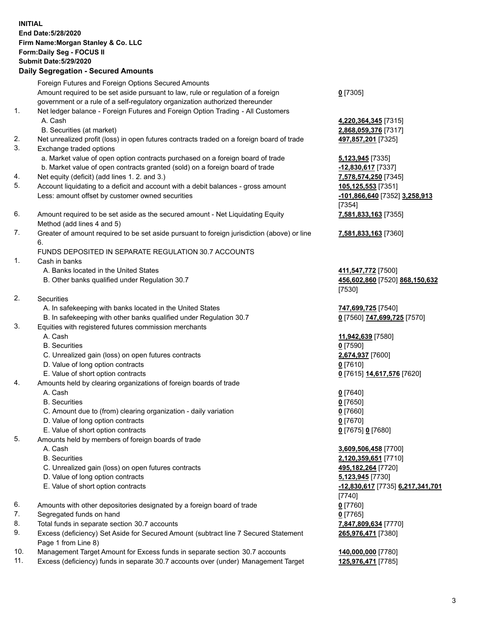| <b>INITIAL</b> | End Date: 5/28/2020<br>Firm Name: Morgan Stanley & Co. LLC<br>Form: Daily Seg - FOCUS II<br><b>Submit Date: 5/29/2020</b><br><b>Daily Segregation - Secured Amounts</b> |                                                                |
|----------------|-------------------------------------------------------------------------------------------------------------------------------------------------------------------------|----------------------------------------------------------------|
|                | Foreign Futures and Foreign Options Secured Amounts<br>Amount required to be set aside pursuant to law, rule or regulation of a foreign                                 |                                                                |
|                | government or a rule of a self-regulatory organization authorized thereunder                                                                                            | $0$ [7305]                                                     |
| 1.             | Net ledger balance - Foreign Futures and Foreign Option Trading - All Customers<br>A. Cash                                                                              | 4,220,364,345 [7315]                                           |
| 2.             | B. Securities (at market)<br>Net unrealized profit (loss) in open futures contracts traded on a foreign board of trade                                                  | 2,868,059,376 [7317]<br>497,857,201 [7325]                     |
| 3.             | Exchange traded options<br>a. Market value of open option contracts purchased on a foreign board of trade                                                               |                                                                |
|                | b. Market value of open contracts granted (sold) on a foreign board of trade                                                                                            | <b>5,123,945</b> [7335]<br>$-12,830,617$ [7337]                |
| 4.             | Net equity (deficit) (add lines 1.2. and 3.)                                                                                                                            | 7,578,574,250 [7345]                                           |
| 5.             | Account liquidating to a deficit and account with a debit balances - gross amount                                                                                       | 105,125,553 [7351]                                             |
|                | Less: amount offset by customer owned securities                                                                                                                        | -101,866,640 [7352] 3,258,913<br>[7354]                        |
| 6.             | Amount required to be set aside as the secured amount - Net Liquidating Equity<br>Method (add lines 4 and 5)                                                            | 7,581,833,163 [7355]                                           |
| 7.             | Greater of amount required to be set aside pursuant to foreign jurisdiction (above) or line<br>6.                                                                       | 7,581,833,163 [7360]                                           |
|                | FUNDS DEPOSITED IN SEPARATE REGULATION 30.7 ACCOUNTS                                                                                                                    |                                                                |
| 1.             | Cash in banks                                                                                                                                                           |                                                                |
|                | A. Banks located in the United States<br>B. Other banks qualified under Regulation 30.7                                                                                 | 411,547,772 [7500]<br>456,602,860 [7520] 868,150,632<br>[7530] |
| 2.             | Securities                                                                                                                                                              |                                                                |
|                | A. In safekeeping with banks located in the United States                                                                                                               | 747,699,725 [7540]                                             |
|                | B. In safekeeping with other banks qualified under Regulation 30.7                                                                                                      | 0 [7560] 747,699,725 [7570]                                    |
| 3.             | Equities with registered futures commission merchants                                                                                                                   |                                                                |
|                | A. Cash                                                                                                                                                                 | 11,942,639 [7580]                                              |
|                | <b>B.</b> Securities                                                                                                                                                    | $0$ [7590]                                                     |
|                | C. Unrealized gain (loss) on open futures contracts<br>D. Value of long option contracts                                                                                | 2,674,937 [7600]<br>$0$ [7610]                                 |
|                | E. Value of short option contracts                                                                                                                                      | 0 [7615] 14,617,576 [7620]                                     |
| 4.             | Amounts held by clearing organizations of foreign boards of trade                                                                                                       |                                                                |
|                | A. Cash                                                                                                                                                                 | $0$ [7640]                                                     |
|                | <b>B.</b> Securities                                                                                                                                                    | $0$ [7650]                                                     |
|                | C. Amount due to (from) clearing organization - daily variation                                                                                                         | $0$ [7660]                                                     |
|                | D. Value of long option contracts                                                                                                                                       | $0$ [7670]                                                     |
|                | E. Value of short option contracts                                                                                                                                      | 0 [7675] 0 [7680]                                              |
| 5.             | Amounts held by members of foreign boards of trade                                                                                                                      |                                                                |
|                | A. Cash                                                                                                                                                                 | 3,609,506,458 [7700]                                           |
|                | <b>B.</b> Securities                                                                                                                                                    | 2,120,359,651 [7710]                                           |
|                | C. Unrealized gain (loss) on open futures contracts                                                                                                                     | 495,182,264 [7720]                                             |
|                | D. Value of long option contracts<br>E. Value of short option contracts                                                                                                 | <b>5,123,945</b> [7730]                                        |
|                |                                                                                                                                                                         | <u>-12,830,617</u> [7735] 6,217,341,701<br>$[7740]$            |
| 6.             | Amounts with other depositories designated by a foreign board of trade                                                                                                  | $0$ [7760]                                                     |
| 7.             | Segregated funds on hand                                                                                                                                                | $0$ [7765]                                                     |
| 8.             | Total funds in separate section 30.7 accounts                                                                                                                           | 7,847,809,634 [7770]                                           |
| 9.             | Excess (deficiency) Set Aside for Secured Amount (subtract line 7 Secured Statement<br>Page 1 from Line 8)                                                              | 265,976,471 [7380]                                             |
| 10.            | Management Target Amount for Excess funds in separate section 30.7 accounts                                                                                             | 140,000,000 [7780]                                             |

11. Excess (deficiency) funds in separate 30.7 accounts over (under) Management Target **125,976,471** [7785]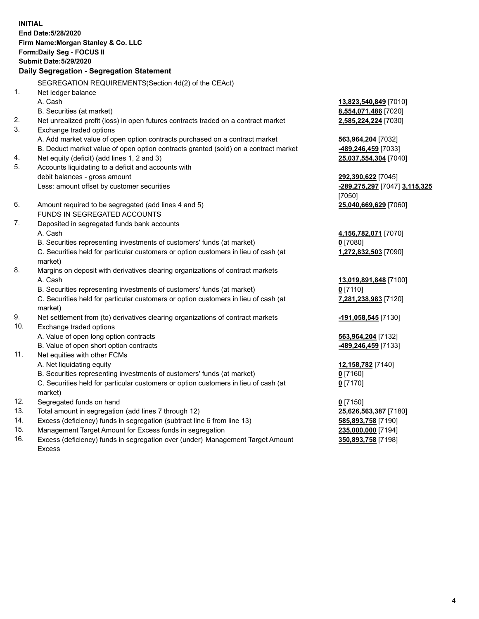**INITIAL End Date:5/28/2020 Firm Name:Morgan Stanley & Co. LLC Form:Daily Seg - FOCUS II Submit Date:5/29/2020 Daily Segregation - Segregation Statement** SEGREGATION REQUIREMENTS(Section 4d(2) of the CEAct) 1. Net ledger balance A. Cash **13,823,540,849** [7010] B. Securities (at market) **8,554,071,486** [7020] 2. Net unrealized profit (loss) in open futures contracts traded on a contract market **2,585,224,224** [7030] 3. Exchange traded options A. Add market value of open option contracts purchased on a contract market **563,964,204** [7032] B. Deduct market value of open option contracts granted (sold) on a contract market **-489,246,459** [7033] 4. Net equity (deficit) (add lines 1, 2 and 3) **25,037,554,304** [7040] 5. Accounts liquidating to a deficit and accounts with debit balances - gross amount **292,390,622** [7045] Less: amount offset by customer securities **-289,275,297** [7047] **3,115,325** [7050] 6. Amount required to be segregated (add lines 4 and 5) **25,040,669,629** [7060] FUNDS IN SEGREGATED ACCOUNTS 7. Deposited in segregated funds bank accounts A. Cash **4,156,782,071** [7070] B. Securities representing investments of customers' funds (at market) **0** [7080] C. Securities held for particular customers or option customers in lieu of cash (at market) **1,272,832,503** [7090] 8. Margins on deposit with derivatives clearing organizations of contract markets A. Cash **13,019,891,848** [7100] B. Securities representing investments of customers' funds (at market) **0** [7110] C. Securities held for particular customers or option customers in lieu of cash (at market) **7,281,238,983** [7120] 9. Net settlement from (to) derivatives clearing organizations of contract markets **-191,058,545** [7130] 10. Exchange traded options A. Value of open long option contracts **563,964,204** [7132] B. Value of open short option contracts **-489,246,459** [7133] 11. Net equities with other FCMs A. Net liquidating equity **12,158,782** [7140] B. Securities representing investments of customers' funds (at market) **0** [7160] C. Securities held for particular customers or option customers in lieu of cash (at market) **0** [7170] 12. Segregated funds on hand **0** [7150] 13. Total amount in segregation (add lines 7 through 12) **25,626,563,387** [7180] 14. Excess (deficiency) funds in segregation (subtract line 6 from line 13) **585,893,758** [7190] 15. Management Target Amount for Excess funds in segregation **235,000,000** [7194]

16. Excess (deficiency) funds in segregation over (under) Management Target Amount Excess

**350,893,758** [7198]